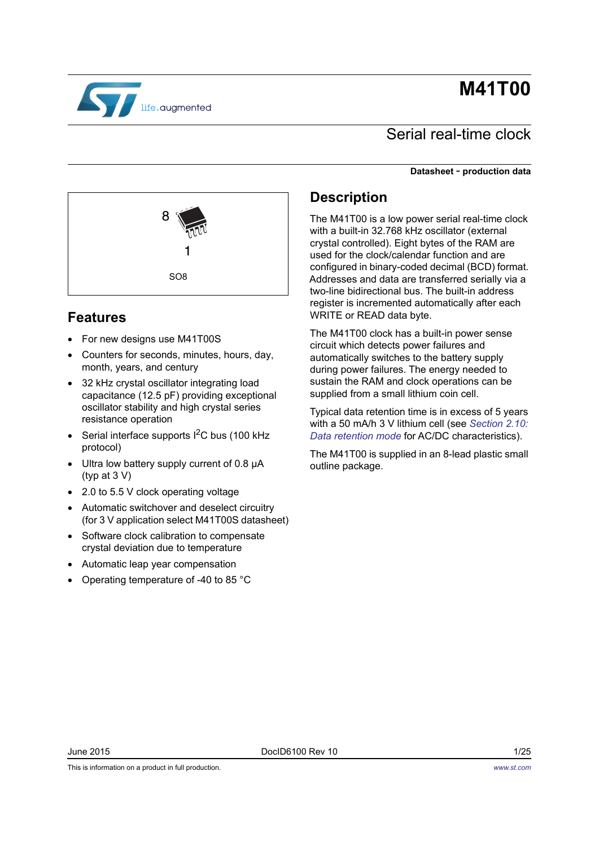# **M41T00**



# Serial real-time clock

#### **Datasheet** - **production data**



## **Features**

- For new designs use M41T00S
- Counters for seconds, minutes, hours, day, month, years, and century
- 32 kHz crystal oscillator integrating load capacitance (12.5 pF) providing exceptional oscillator stability and high crystal series resistance operation
- Serial interface supports  $I^2C$  bus (100 kHz protocol)
- Ultra low battery supply current of 0.8 μA (typ at 3 V)
- 2.0 to 5.5 V clock operating voltage
- Automatic switchover and deselect circuitry (for 3 V application select M41T00S datasheet)
- Software clock calibration to compensate crystal deviation due to temperature
- Automatic leap year compensation
- Operating temperature of -40 to 85 °C

## **Description**

The M41T00 is a low power serial real-time clock with a built-in 32.768 kHz oscillator (external crystal controlled). Eight bytes of the RAM are used for the clock/calendar function and are configured in binary-coded decimal (BCD) format. Addresses and data are transferred serially via a two-line bidirectional bus. The built-in address register is incremented automatically after each WRITE or READ data byte.

The M41T00 clock has a built-in power sense circuit which detects power failures and automatically switches to the battery supply during power failures. The energy needed to sustain the RAM and clock operations can be supplied from a small lithium coin cell.

Typical data retention time is in excess of 5 years with a 50 mA/h 3 V lithium cell (see *[Section 2.10:](#page-11-0)  [Data retention mode](#page-11-0)* for AC/DC characteristics).

The M41T00 is supplied in an 8-lead plastic small outline package.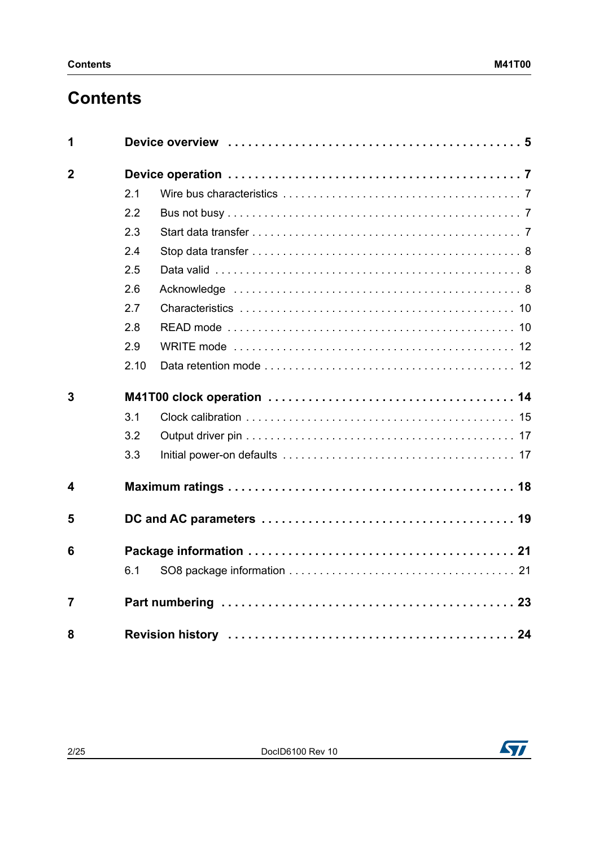# **Contents**

| 1              |      |  |
|----------------|------|--|
| $\mathbf{2}$   |      |  |
|                | 2.1  |  |
|                | 2.2  |  |
|                | 2.3  |  |
|                | 2.4  |  |
|                | 2.5  |  |
|                | 2.6  |  |
|                | 2.7  |  |
|                | 2.8  |  |
|                | 2.9  |  |
|                | 2.10 |  |
| 3              |      |  |
|                | 3.1  |  |
|                | 3.2  |  |
|                | 3.3  |  |
| 4              |      |  |
| 5              |      |  |
| 6              |      |  |
|                | 6.1  |  |
| $\overline{7}$ |      |  |
| 8              |      |  |

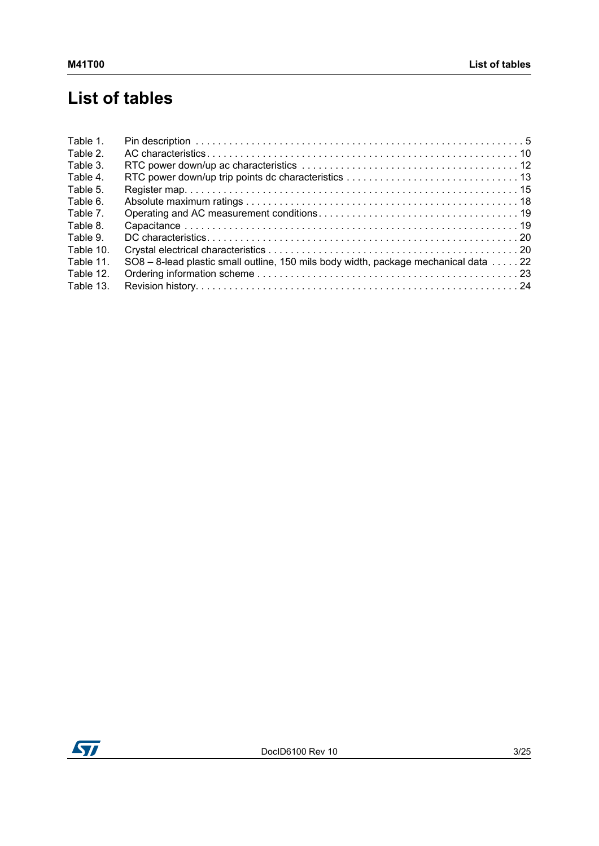# **List of tables**

| Table 1.  |                                                                                     |  |
|-----------|-------------------------------------------------------------------------------------|--|
| Table 2.  |                                                                                     |  |
| Table 3.  |                                                                                     |  |
| Table 4.  |                                                                                     |  |
| Table 5.  |                                                                                     |  |
| Table 6.  |                                                                                     |  |
| Table 7.  |                                                                                     |  |
| Table 8.  |                                                                                     |  |
| Table 9.  |                                                                                     |  |
| Table 10. |                                                                                     |  |
| Table 11. | SO8 - 8-lead plastic small outline, 150 mils body width, package mechanical data 22 |  |
| Table 12. |                                                                                     |  |
| Table 13. |                                                                                     |  |
|           |                                                                                     |  |

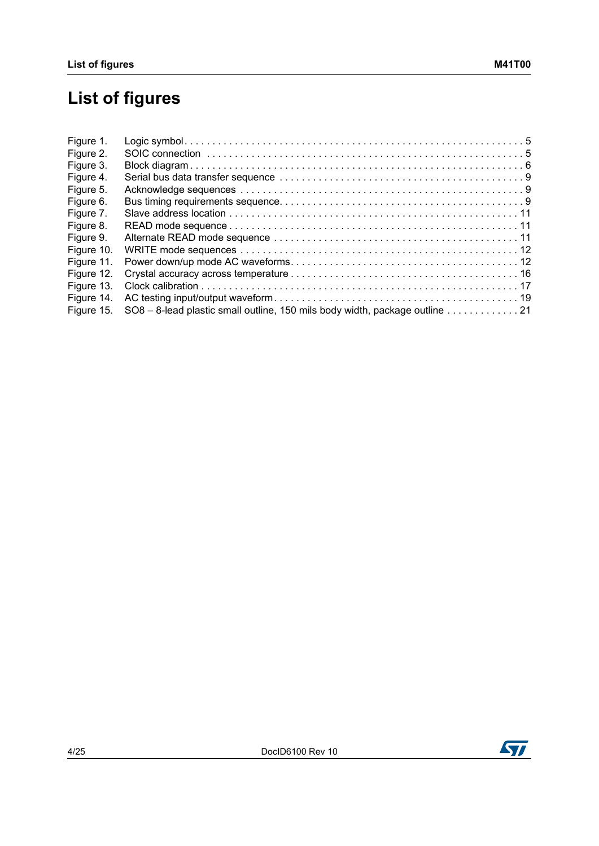# **List of figures**

| Figure 1.  |                                                                             |
|------------|-----------------------------------------------------------------------------|
| Figure 2.  |                                                                             |
| Figure 3.  |                                                                             |
| Figure 4.  |                                                                             |
| Figure 5.  |                                                                             |
| Figure 6.  |                                                                             |
| Figure 7.  |                                                                             |
| Figure 8.  |                                                                             |
| Figure 9.  |                                                                             |
| Figure 10. |                                                                             |
| Figure 11. |                                                                             |
| Figure 12. |                                                                             |
| Figure 13. |                                                                             |
| Figure 14. |                                                                             |
| Figure 15. | SO8 - 8-lead plastic small outline, 150 mils body width, package outline 21 |

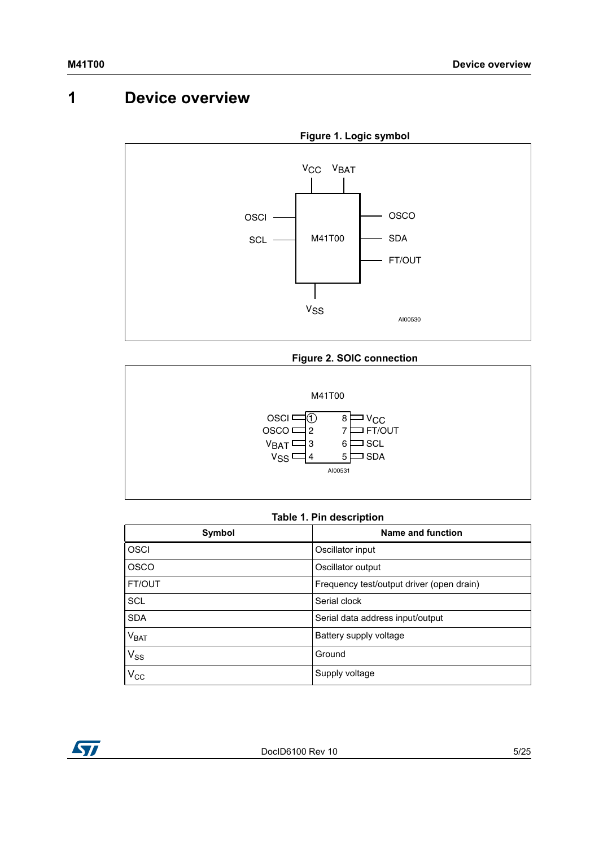# <span id="page-4-0"></span>**1 Device overview**

<span id="page-4-2"></span>

#### **Figure 2. SOIC connection**

<span id="page-4-3"></span>

#### **Table 1. Pin description**

<span id="page-4-1"></span>

| Symbol        | Name and function                         |
|---------------|-------------------------------------------|
| OSCI          | Oscillator input                          |
| <b>OSCO</b>   | Oscillator output                         |
| <b>FT/OUT</b> | Frequency test/output driver (open drain) |
| <b>SCL</b>    | Serial clock                              |
| <b>SDA</b>    | Serial data address input/output          |
| $\rm V_{BAT}$ | Battery supply voltage                    |
| $V_{SS}$      | Ground                                    |
| $V_{\rm CC}$  | Supply voltage                            |

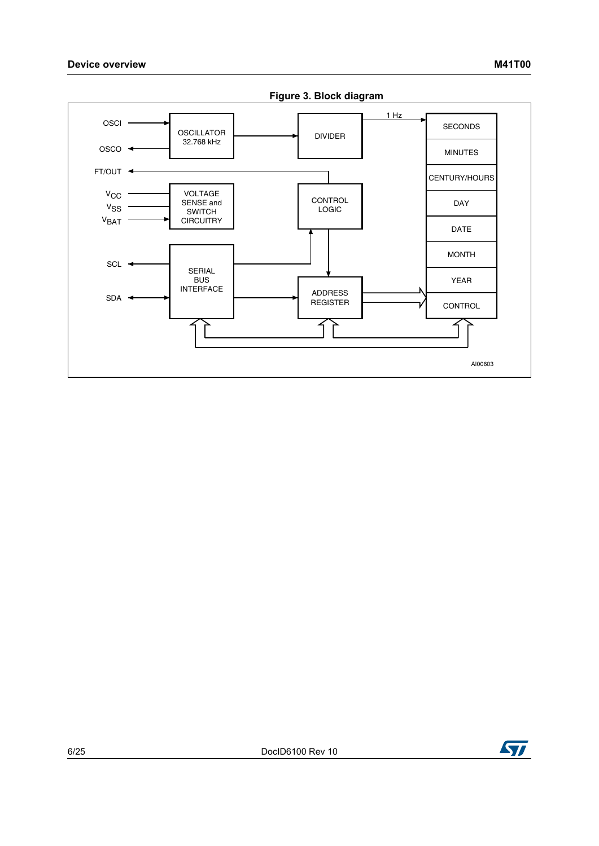<span id="page-5-0"></span>

**Figure 3. Block diagram**

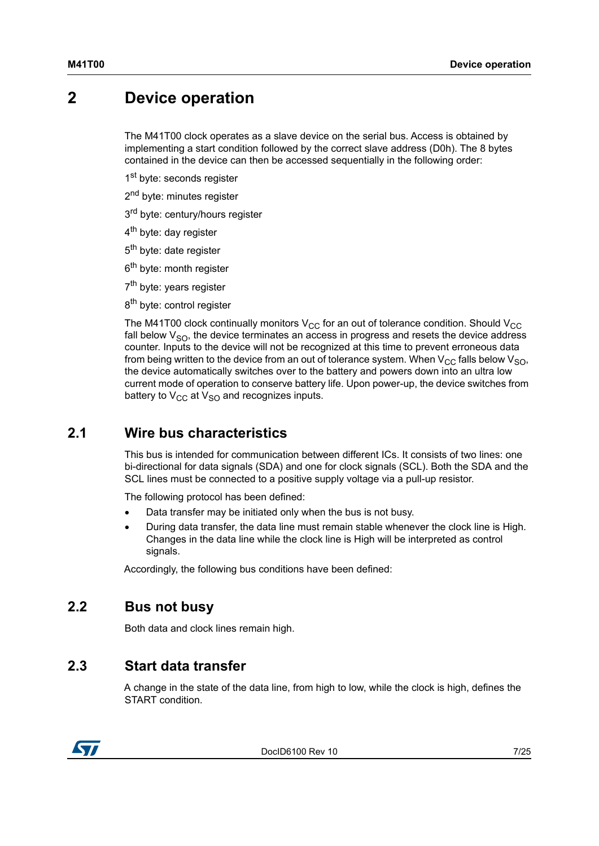# <span id="page-6-0"></span>**2 Device operation**

The M41T00 clock operates as a slave device on the serial bus. Access is obtained by implementing a start condition followed by the correct slave address (D0h). The 8 bytes contained in the device can then be accessed sequentially in the following order:

1<sup>st</sup> byte: seconds register

- 2<sup>nd</sup> byte: minutes register
- 3<sup>rd</sup> byte: century/hours register
- 4<sup>th</sup> byte: day register
- 5<sup>th</sup> byte: date register
- 6<sup>th</sup> byte: month register
- 7<sup>th</sup> byte: years register
- 8<sup>th</sup> byte: control register

The M41T00 clock continually monitors  $V_{CC}$  for an out of tolerance condition. Should  $V_{CC}$ fall below  $V_{SO}$ , the device terminates an access in progress and resets the device address counter. Inputs to the device will not be recognized at this time to prevent erroneous data from being written to the device from an out of tolerance system. When  $V_{CC}$  falls below  $V_{SO}$ , the device automatically switches over to the battery and powers down into an ultra low current mode of operation to conserve battery life. Upon power-up, the device switches from battery to  $V_{CC}$  at  $V_{SO}$  and recognizes inputs.

### <span id="page-6-1"></span>**2.1 Wire bus characteristics**

This bus is intended for communication between different ICs. It consists of two lines: one bi-directional for data signals (SDA) and one for clock signals (SCL). Both the SDA and the SCL lines must be connected to a positive supply voltage via a pull-up resistor.

The following protocol has been defined:

- Data transfer may be initiated only when the bus is not busy.
- During data transfer, the data line must remain stable whenever the clock line is High. Changes in the data line while the clock line is High will be interpreted as control signals.

Accordingly, the following bus conditions have been defined:

### <span id="page-6-2"></span>**2.2 Bus not busy**

Both data and clock lines remain high.

### <span id="page-6-3"></span>**2.3 Start data transfer**

A change in the state of the data line, from high to low, while the clock is high, defines the START condition.



DocID6100 Rev 10 7/25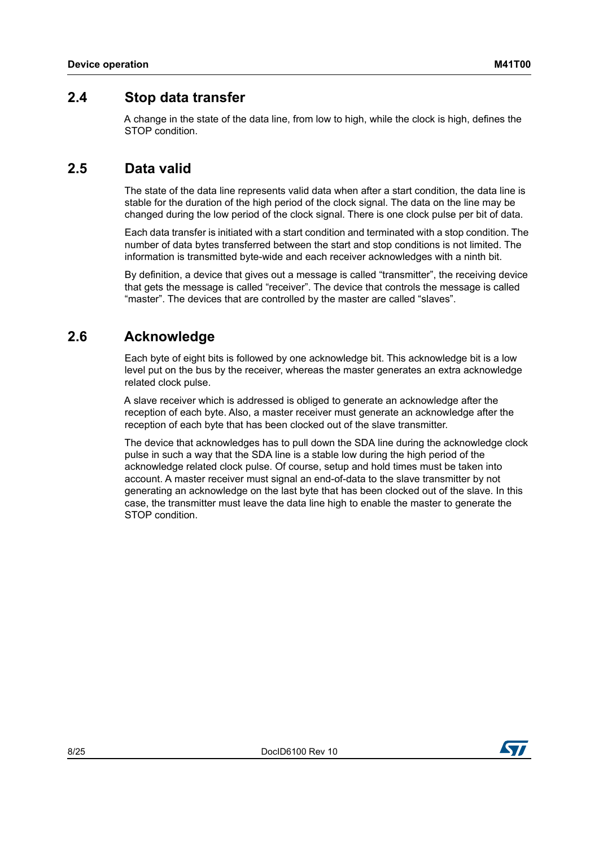### <span id="page-7-0"></span>**2.4 Stop data transfer**

A change in the state of the data line, from low to high, while the clock is high, defines the STOP condition.

### <span id="page-7-1"></span>**2.5 Data valid**

The state of the data line represents valid data when after a start condition, the data line is stable for the duration of the high period of the clock signal. The data on the line may be changed during the low period of the clock signal. There is one clock pulse per bit of data.

Each data transfer is initiated with a start condition and terminated with a stop condition. The number of data bytes transferred between the start and stop conditions is not limited. The information is transmitted byte-wide and each receiver acknowledges with a ninth bit.

By definition, a device that gives out a message is called "transmitter", the receiving device that gets the message is called "receiver". The device that controls the message is called "master". The devices that are controlled by the master are called "slaves".

### <span id="page-7-2"></span>**2.6 Acknowledge**

Each byte of eight bits is followed by one acknowledge bit. This acknowledge bit is a low level put on the bus by the receiver, whereas the master generates an extra acknowledge related clock pulse.

A slave receiver which is addressed is obliged to generate an acknowledge after the reception of each byte. Also, a master receiver must generate an acknowledge after the reception of each byte that has been clocked out of the slave transmitter.

The device that acknowledges has to pull down the SDA line during the acknowledge clock pulse in such a way that the SDA line is a stable low during the high period of the acknowledge related clock pulse. Of course, setup and hold times must be taken into account. A master receiver must signal an end-of-data to the slave transmitter by not generating an acknowledge on the last byte that has been clocked out of the slave. In this case, the transmitter must leave the data line high to enable the master to generate the STOP condition.

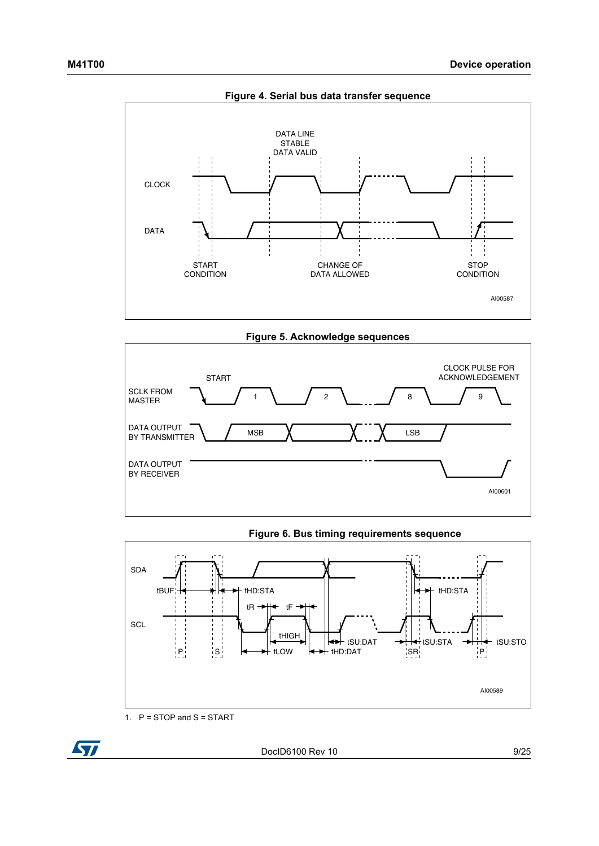<span id="page-8-0"></span>

**Figure 5. Acknowledge sequences**

<span id="page-8-1"></span>

**Figure 6. Bus timing requirements sequence**

<span id="page-8-2"></span>

1. P = STOP and S = START

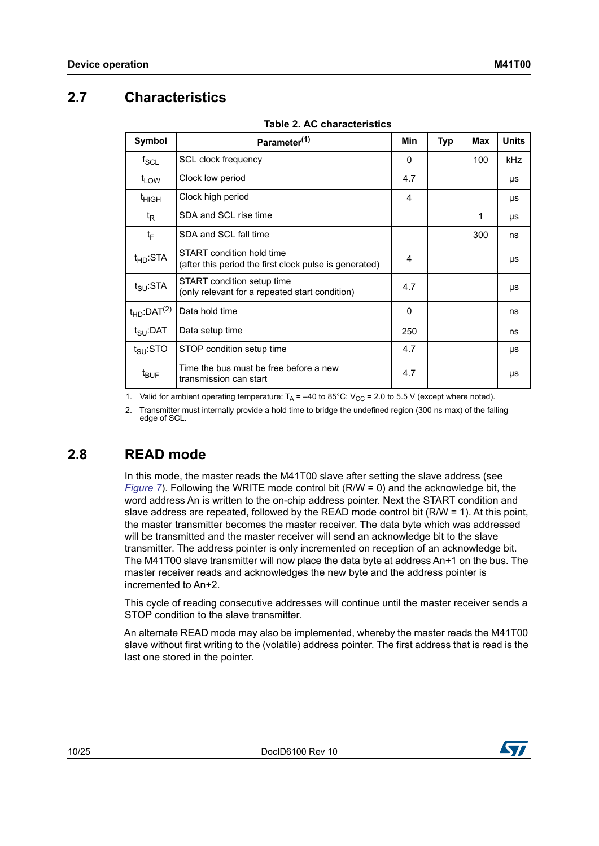# <span id="page-9-0"></span>**2.7 Characteristics**

<span id="page-9-2"></span>

|                              | $1900$ . Ay viidlavionalise                                                         | Min          |            | Max | <b>Units</b> |
|------------------------------|-------------------------------------------------------------------------------------|--------------|------------|-----|--------------|
| Symbol                       | Parameter <sup>(1)</sup>                                                            |              | <b>Typ</b> |     |              |
| $f_{SCL}$                    | SCL clock frequency                                                                 | $\mathbf{0}$ |            | 100 | <b>kHz</b>   |
| t <sub>LOW</sub>             | Clock low period                                                                    | 4.7          |            |     | μs           |
| t <sub>HIGH</sub>            | Clock high period                                                                   | 4            |            |     | μs           |
| t <sub>R</sub>               | SDA and SCL rise time                                                               |              |            | 1   | μs           |
| tF                           | SDA and SCL fall time                                                               |              |            | 300 | ns           |
| $t_{HD}$ :STA                | START condition hold time<br>(after this period the first clock pulse is generated) | 4            |            |     | μs           |
| $t_{\text{SU}}$ :STA         | START condition setup time<br>(only relevant for a repeated start condition)        | 4.7          |            |     | μs           |
| $t_{HD}$ :DAT <sup>(2)</sup> | Data hold time                                                                      | 0            |            |     | ns           |
| $t_{\text{SU}}$ :DAT         | Data setup time                                                                     | 250          |            |     | ns           |
| $t_{\text{SU}}$ :STO         | STOP condition setup time                                                           | 4.7          |            |     | μs           |
| $t_{\text{BUF}}$             | Time the bus must be free before a new<br>transmission can start                    | 4.7          |            |     | μs           |

**Table 2. AC characteristics**

1. Valid for ambient operating temperature:  $T_A = -40$  to 85°C; V<sub>CC</sub> = 2.0 to 5.5 V (except where noted).

2. Transmitter must internally provide a hold time to bridge the undefined region (300 ns max) of the falling edge of SCL.

## <span id="page-9-1"></span>**2.8 READ mode**

In this mode, the master reads the M41T00 slave after setting the slave address (see *[Figure 7](#page-10-0)*). Following the WRITE mode control bit (R/W = 0) and the acknowledge bit, the word address An is written to the on-chip address pointer. Next the START condition and slave address are repeated, followed by the READ mode control bit (R/W = 1). At this point, the master transmitter becomes the master receiver. The data byte which was addressed will be transmitted and the master receiver will send an acknowledge bit to the slave transmitter. The address pointer is only incremented on reception of an acknowledge bit. The M41T00 slave transmitter will now place the data byte at address An+1 on the bus. The master receiver reads and acknowledges the new byte and the address pointer is incremented to An+2.

This cycle of reading consecutive addresses will continue until the master receiver sends a STOP condition to the slave transmitter.

An alternate READ mode may also be implemented, whereby the master reads the M41T00 slave without first writing to the (volatile) address pointer. The first address that is read is the last one stored in the pointer.

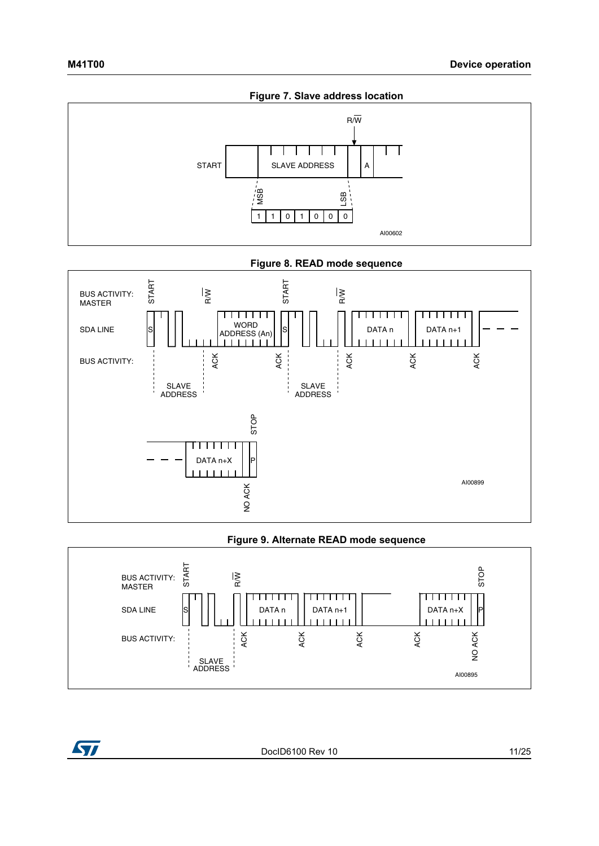<span id="page-10-0"></span>

**Figure 8. READ mode sequence**

<span id="page-10-1"></span>

#### **Figure 9. Alternate READ mode sequence**

<span id="page-10-2"></span>



DocID6100 Rev 10 11/25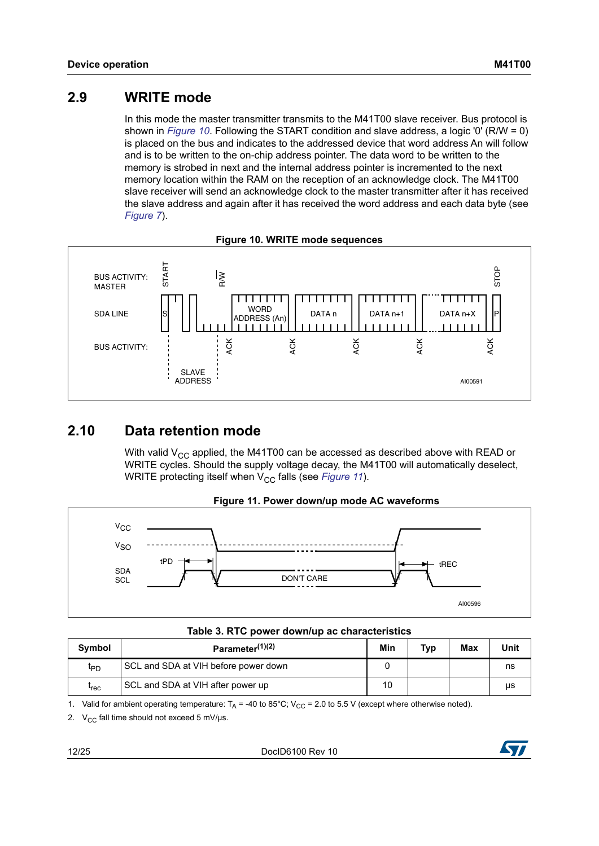## <span id="page-11-1"></span>**2.9 WRITE mode**

In this mode the master transmitter transmits to the M41T00 slave receiver. Bus protocol is shown in *[Figure 10](#page-11-3)*. Following the START condition and slave address, a logic '0' (R/W = 0) is placed on the bus and indicates to the addressed device that word address An will follow and is to be written to the on-chip address pointer. The data word to be written to the memory is strobed in next and the internal address pointer is incremented to the next memory location within the RAM on the reception of an acknowledge clock. The M41T00 slave receiver will send an acknowledge clock to the master transmitter after it has received the slave address and again after it has received the word address and each data byte (see *[Figure 7](#page-10-0)*).

<span id="page-11-3"></span>

### **Figure 10. WRITE mode sequences**

## <span id="page-11-0"></span>**2.10 Data retention mode**

With valid  $V_{CC}$  applied, the M41T00 can be accessed as described above with READ or WRITE cycles. Should the supply voltage decay, the M41T00 will automatically deselect, WRITE protecting itself when V<sub>CC</sub> falls (see *[Figure 11](#page-11-4)*).

<span id="page-11-4"></span>

#### **Figure 11. Power down/up mode AC waveforms**

| Table 3. RTC power down/up ac characteristics |  |  |  |  |  |
|-----------------------------------------------|--|--|--|--|--|
|-----------------------------------------------|--|--|--|--|--|

<span id="page-11-2"></span>

| Symbol           | Parameter $(1)(2)$                   | Min | Typ | Max | Unit |
|------------------|--------------------------------------|-----|-----|-----|------|
| ŀРD              | SCL and SDA at VIH before power down |     |     |     | ns   |
| <sup>t</sup> rec | SCL and SDA at VIH after power up    | 10  |     |     | μs   |

1. Valid for ambient operating temperature:  $T_A = -40$  to 85°C; V<sub>CC</sub> = 2.0 to 5.5 V (except where otherwise noted).

2.  $V_{CC}$  fall time should not exceed 5 mV/ $\mu$ s.

12/25 DocID6100 Rev 10

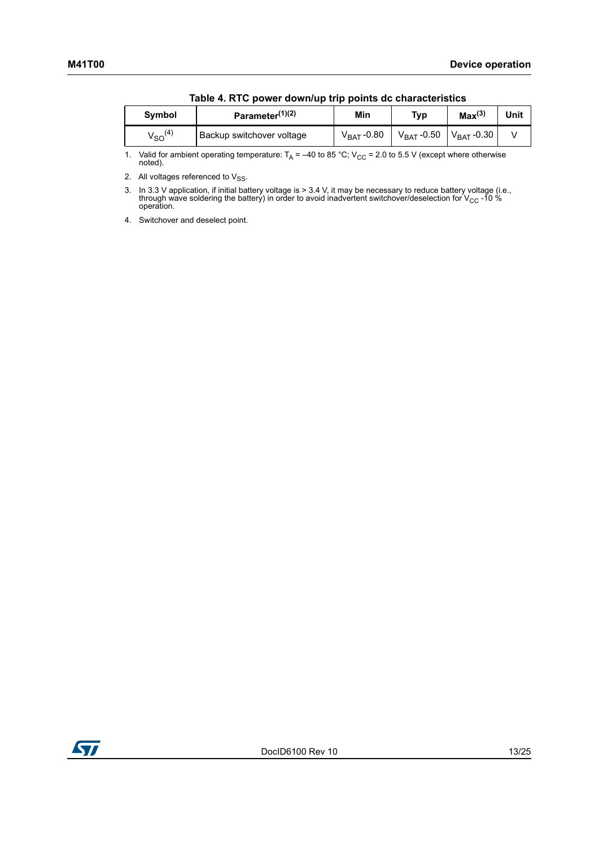<span id="page-12-0"></span>

|                | <u>NANO TENTO PONOL GOMINAD GIP POINTS GO ONGIGOLOHISTO</u> |                 |                     |                        |      |
|----------------|-------------------------------------------------------------|-----------------|---------------------|------------------------|------|
| <b>Symbol</b>  | Parameter <sup>(1)(2)</sup>                                 | Min             | Typ                 | Max <sup>(3)</sup>     | Unit |
| $V_{SO}^{(4)}$ | Backup switchover voltage                                   | $V_{BAT}$ -0.80 | $\rm V_{BAT}$ -0.50 | V <sub>BAT</sub> -0.30 |      |

|  |  |  |  | Table 4. RTC power down/up trip points dc characteristics |
|--|--|--|--|-----------------------------------------------------------|
|--|--|--|--|-----------------------------------------------------------|

1. Valid for ambient operating temperature:  $T_A = -40$  to 85 °C; V<sub>CC</sub> = 2.0 to 5.5 V (except where otherwise noted).

2. All voltages referenced to  $V_{SS}$ .

3. In 3.3 V application, if initial battery voltage is > 3.4 V, it may be necessary to reduce battery voltage (i.e., through wave soldering the battery) in order to avoid inadvertent switchover/deselection for V<sub>CC</sub> -10 %<br>operation.

4. Switchover and deselect point.

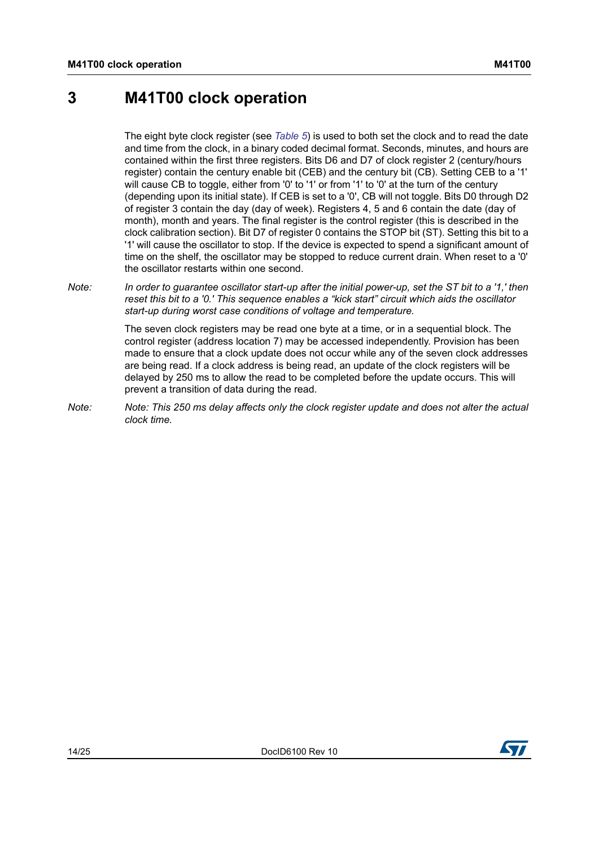# <span id="page-13-0"></span>**3 M41T00 clock operation**

The eight byte clock register (see *[Table 5](#page-14-1)*) is used to both set the clock and to read the date and time from the clock, in a binary coded decimal format. Seconds, minutes, and hours are contained within the first three registers. Bits D6 and D7 of clock register 2 (century/hours register) contain the century enable bit (CEB) and the century bit (CB). Setting CEB to a '1' will cause CB to toggle, either from '0' to '1' or from '1' to '0' at the turn of the century (depending upon its initial state). If CEB is set to a '0', CB will not toggle. Bits D0 through D2 of register 3 contain the day (day of week). Registers 4, 5 and 6 contain the date (day of month), month and years. The final register is the control register (this is described in the clock calibration section). Bit D7 of register 0 contains the STOP bit (ST). Setting this bit to a '1' will cause the oscillator to stop. If the device is expected to spend a significant amount of time on the shelf, the oscillator may be stopped to reduce current drain. When reset to a '0' the oscillator restarts within one second.

*Note: In order to guarantee oscillator start-up after the initial power-up, set the ST bit to a '1,' then reset this bit to a '0.' This sequence enables a "kick start" circuit which aids the oscillator start-up during worst case conditions of voltage and temperature.*

> The seven clock registers may be read one byte at a time, or in a sequential block. The control register (address location 7) may be accessed independently. Provision has been made to ensure that a clock update does not occur while any of the seven clock addresses are being read. If a clock address is being read, an update of the clock registers will be delayed by 250 ms to allow the read to be completed before the update occurs. This will prevent a transition of data during the read.

*Note: Note: This 250 ms delay affects only the clock register update and does not alter the actual clock time.*

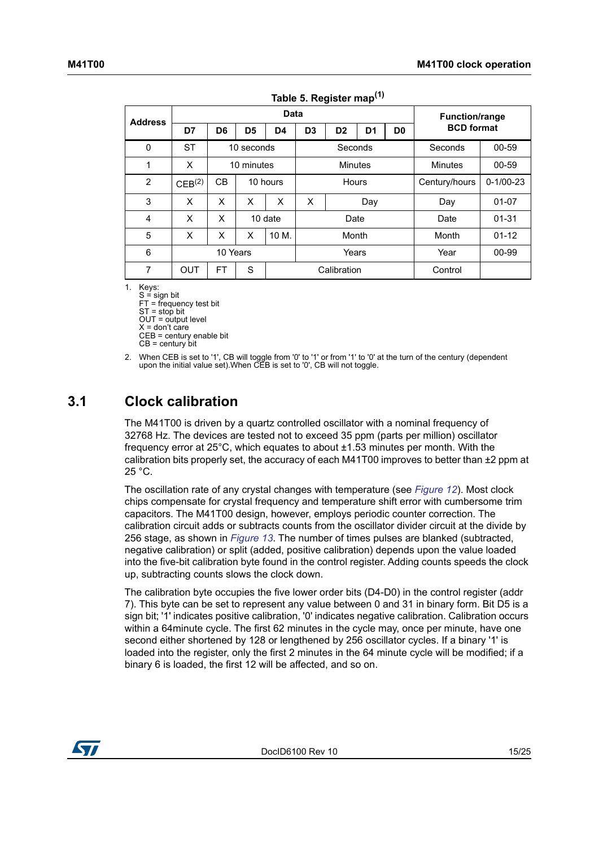<span id="page-14-1"></span>

|                | -----              |                |                |         |                                                                      |  |  |                       |                   |           |  |               |                 |
|----------------|--------------------|----------------|----------------|---------|----------------------------------------------------------------------|--|--|-----------------------|-------------------|-----------|--|---------------|-----------------|
| <b>Address</b> | Data               |                |                |         |                                                                      |  |  | <b>Function/range</b> |                   |           |  |               |                 |
|                | D7                 | D6             | D <sub>5</sub> | D4      | D <sub>3</sub><br>D <sub>2</sub><br>D <sub>1</sub><br>D <sub>0</sub> |  |  |                       | <b>BCD</b> format |           |  |               |                 |
| 0              | <b>ST</b>          |                | 10 seconds     |         | Seconds                                                              |  |  |                       | Seconds           | 00-59     |  |               |                 |
| 1              | X                  |                | 10 minutes     |         | <b>Minutes</b>                                                       |  |  |                       | <b>Minutes</b>    | 00-59     |  |               |                 |
| $\overline{2}$ | CEB <sup>(2)</sup> | СB<br>10 hours |                |         | Hours                                                                |  |  |                       |                   |           |  | Century/hours | $0 - 1/00 - 23$ |
| 3              | X                  | X              | X              | X       | X<br>Day                                                             |  |  |                       | Day               | 01-07     |  |               |                 |
| 4              | X                  | X              |                | 10 date | Date                                                                 |  |  |                       | Date              | $01 - 31$ |  |               |                 |
| 5              | X                  | X              | X              | 10 M.   | Month                                                                |  |  |                       | Month             | $01 - 12$ |  |               |                 |
| 6              |                    | 10 Years       |                |         | Years                                                                |  |  |                       |                   |           |  | Year          | 00-99           |
| 7              | <b>OUT</b>         | <b>FT</b>      | S              |         | Calibration                                                          |  |  |                       | Control           |           |  |               |                 |

1. Keys:

 $S =$  sign bit FT = frequency test bit ST = stop bit OUT = output level  $X =$  don't care CEB = century enable bit

 $CB =$  century bit

2. When CEB is set to '1', CB will toggle from '0' to '1' or from '1' to '0' at the turn of the century (dependent upon the initial value set).When CEB is set to '0', CB will not toggle.

## <span id="page-14-0"></span>**3.1 Clock calibration**

The M41T00 is driven by a quartz controlled oscillator with a nominal frequency of 32768 Hz. The devices are tested not to exceed 35 ppm (parts per million) oscillator frequency error at 25°C, which equates to about ±1.53 minutes per month. With the calibration bits properly set, the accuracy of each  $M41T00$  improves to better than  $\pm 2$  ppm at 25 °C.

The oscillation rate of any crystal changes with temperature (see *[Figure 12](#page-15-0)*). Most clock chips compensate for crystal frequency and temperature shift error with cumbersome trim capacitors. The M41T00 design, however, employs periodic counter correction. The calibration circuit adds or subtracts counts from the oscillator divider circuit at the divide by 256 stage, as shown in *[Figure 13](#page-16-2)*. The number of times pulses are blanked (subtracted, negative calibration) or split (added, positive calibration) depends upon the value loaded into the five-bit calibration byte found in the control register. Adding counts speeds the clock up, subtracting counts slows the clock down.

The calibration byte occupies the five lower order bits (D4-D0) in the control register (addr 7). This byte can be set to represent any value between 0 and 31 in binary form. Bit D5 is a sign bit; '1' indicates positive calibration, '0' indicates negative calibration. Calibration occurs within a 64minute cycle. The first 62 minutes in the cycle may, once per minute, have one second either shortened by 128 or lengthened by 256 oscillator cycles. If a binary '1' is loaded into the register, only the first 2 minutes in the 64 minute cycle will be modified; if a binary 6 is loaded, the first 12 will be affected, and so on.

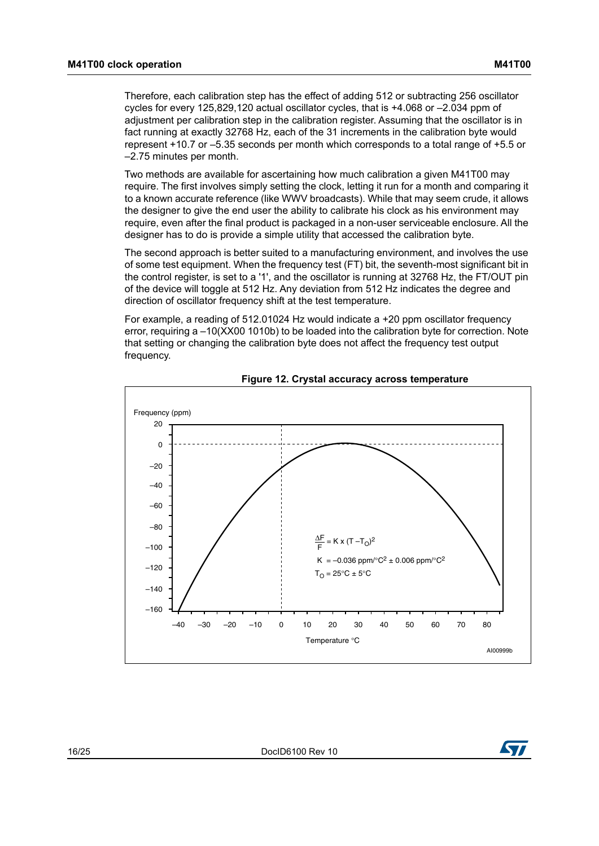Therefore, each calibration step has the effect of adding 512 or subtracting 256 oscillator cycles for every 125,829,120 actual oscillator cycles, that is +4.068 or –2.034 ppm of adjustment per calibration step in the calibration register. Assuming that the oscillator is in fact running at exactly 32768 Hz, each of the 31 increments in the calibration byte would represent +10.7 or –5.35 seconds per month which corresponds to a total range of +5.5 or –2.75 minutes per month.

Two methods are available for ascertaining how much calibration a given M41T00 may require. The first involves simply setting the clock, letting it run for a month and comparing it to a known accurate reference (like WWV broadcasts). While that may seem crude, it allows the designer to give the end user the ability to calibrate his clock as his environment may require, even after the final product is packaged in a non-user serviceable enclosure. All the designer has to do is provide a simple utility that accessed the calibration byte.

The second approach is better suited to a manufacturing environment, and involves the use of some test equipment. When the frequency test (FT) bit, the seventh-most significant bit in the control register, is set to a '1', and the oscillator is running at 32768 Hz, the FT/OUT pin of the device will toggle at 512 Hz. Any deviation from 512 Hz indicates the degree and direction of oscillator frequency shift at the test temperature.

For example, a reading of  $512.01024$  Hz would indicate a  $+20$  ppm oscillator frequency error, requiring a –10(XX00 1010b) to be loaded into the calibration byte for correction. Note that setting or changing the calibration byte does not affect the frequency test output frequency.

<span id="page-15-0"></span>



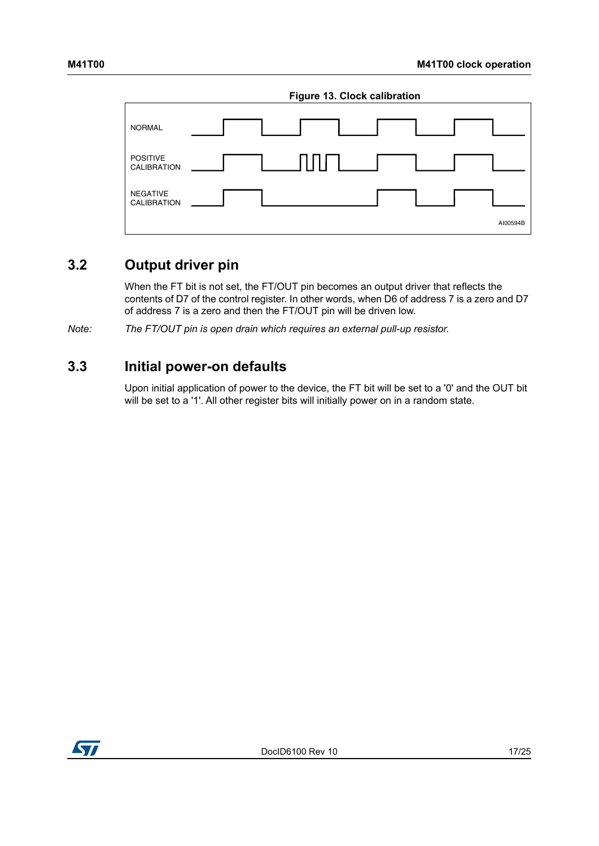<span id="page-16-2"></span>

## <span id="page-16-0"></span>**3.2 Output driver pin**

When the FT bit is not set, the FT/OUT pin becomes an output driver that reflects the contents of D7 of the control register. In other words, when D6 of address 7 is a zero and D7 of address 7 is a zero and then the FT/OUT pin will be driven low.

*Note: The FT/OUT pin is open drain which requires an external pull-up resistor.* 

### <span id="page-16-1"></span>**3.3 Initial power-on defaults**

Upon initial application of power to the device, the FT bit will be set to a '0' and the OUT bit will be set to a '1'. All other register bits will initially power on in a random state.

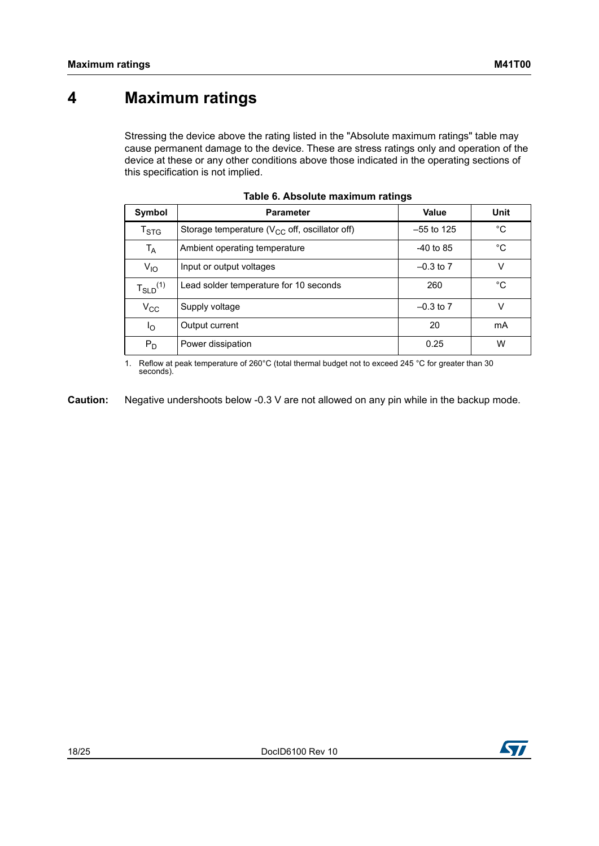# <span id="page-17-0"></span>**4 Maximum ratings**

Stressing the device above the rating listed in the "Absolute maximum ratings" table may cause permanent damage to the device. These are stress ratings only and operation of the device at these or any other conditions above those indicated in the operating sections of this specification is not implied.

<span id="page-17-1"></span>

| Symbol                              | <b>Parameter</b>                                    | Value         | Unit |
|-------------------------------------|-----------------------------------------------------|---------------|------|
| $\mathsf{T}_{\textsf{STG}}$         | Storage temperature ( $V_{CC}$ off, oscillator off) | $-55$ to 125  | °C   |
| T <sub>A</sub>                      | Ambient operating temperature                       | $-40$ to 85   | °C   |
| $V_{10}$                            | Input or output voltages                            | $-0.3$ to $7$ | v    |
| $T_{\scriptstyle \text{SLD}}^{(1)}$ | Lead solder temperature for 10 seconds              | 260           | °C   |
| $V_{\rm CC}$                        | Supply voltage                                      | $-0.3$ to $7$ | v    |
| Ιo                                  | Output current                                      | 20            | mA   |
| $P_D$                               | Power dissipation                                   | 0.25          | W    |

|  |  | Table 6. Absolute maximum ratings |  |
|--|--|-----------------------------------|--|
|--|--|-----------------------------------|--|

1. Reflow at peak temperature of 260°C (total thermal budget not to exceed 245 °C for greater than 30 seconds).

**Caution:** Negative undershoots below -0.3 V are not allowed on any pin while in the backup mode.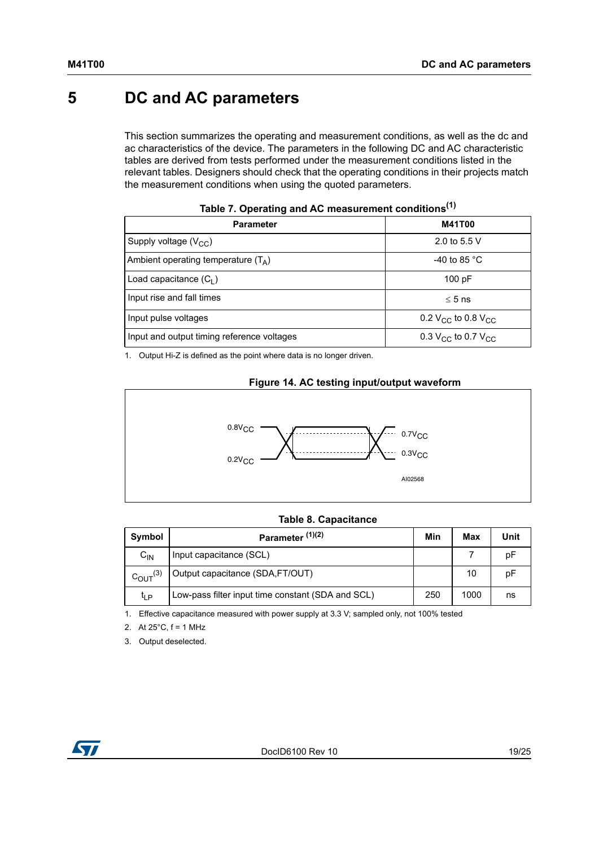# <span id="page-18-0"></span>**5 DC and AC parameters**

This section summarizes the operating and measurement conditions, as well as the dc and ac characteristics of the device. The parameters in the following DC and AC characteristic tables are derived from tests performed under the measurement conditions listed in the relevant tables. Designers should check that the operating conditions in their projects match the measurement conditions when using the quoted parameters.

<span id="page-18-1"></span>

| <b>Parameter</b>                           | <b>M41T00</b>                |  |  |  |
|--------------------------------------------|------------------------------|--|--|--|
| Supply voltage $(V_{CC})$                  | 2.0 to 5.5 V                 |  |  |  |
| Ambient operating temperature $(T_A)$      | -40 to 85 $^{\circ}$ C       |  |  |  |
| Load capacitance $(C_1)$                   | 100 pF                       |  |  |  |
| Input rise and fall times                  | $\leq 5$ ns                  |  |  |  |
| Input pulse voltages                       | 0.2 $V_{CC}$ to 0.8 $V_{CC}$ |  |  |  |
| Input and output timing reference voltages | 0.3 $V_{CC}$ to 0.7 $V_{CC}$ |  |  |  |

| Table 7. Operating and AC measurement conditions <sup>(1)</sup> |  |
|-----------------------------------------------------------------|--|
|-----------------------------------------------------------------|--|

1. Output Hi-Z is defined as the point where data is no longer driven.

#### **Figure 14. AC testing input/output waveform**

<span id="page-18-3"></span>

### **Table 8. Capacitance**

<span id="page-18-2"></span>

| Symbol                 | Parameter <sup>(1)(2)</sup>                       |     | Max  | Unit |
|------------------------|---------------------------------------------------|-----|------|------|
| $C_{IN}$               | Input capacitance (SCL)                           |     |      | pF   |
| $C_{\text{OUT}}^{(3)}$ | Output capacitance (SDA,FT/OUT)                   |     | 10   | рF   |
| ľ∣Р                    | Low-pass filter input time constant (SDA and SCL) | 250 | 1000 | ns   |

1. Effective capacitance measured with power supply at 3.3 V; sampled only, not 100% tested

2. At 25°C, f = 1 MHz

3. Output deselected.

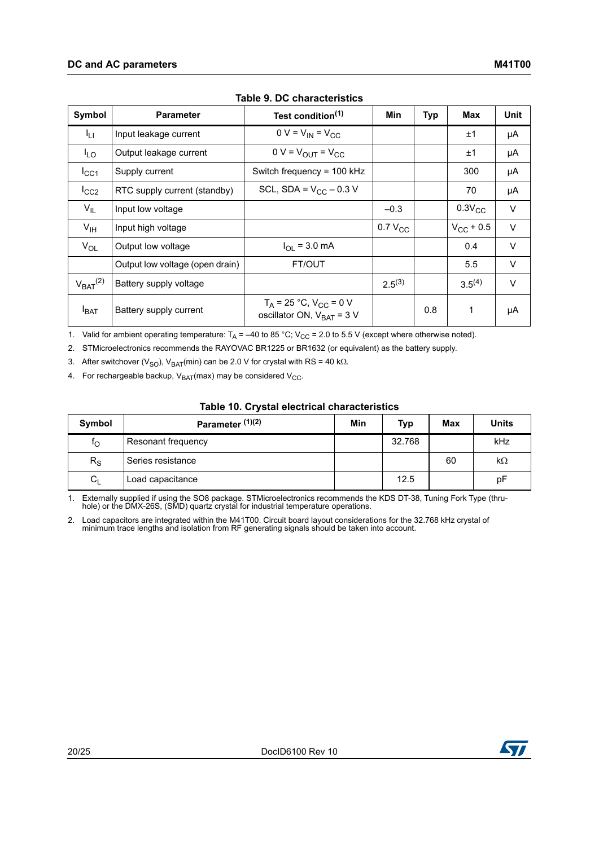<span id="page-19-0"></span>

| Symbol          | <b>Parameter</b>                | Test condition <sup>(1)</sup>                                    | <b>Min</b>   | <b>Typ</b> | Max            | Unit   |
|-----------------|---------------------------------|------------------------------------------------------------------|--------------|------------|----------------|--------|
| ŀμ.             | Input leakage current           | $0 V = V_{IN} = V_{CC}$                                          |              |            | ±1             | μA     |
| $I_{LO}$        | Output leakage current          | $0 V = V_{\text{OUT}} = V_{\text{CC}}$                           |              |            | ±1             | μA     |
| $I_{\rm CC1}$   | Supply current                  | Switch frequency = 100 kHz                                       |              |            | 300            | μA     |
| $I_{CC2}$       | RTC supply current (standby)    | SCL, SDA = $V_{CC}$ – 0.3 V                                      |              |            | 70             | μA     |
| $V_{IL}$        | Input low voltage               |                                                                  | $-0.3$       |            | $0.3V_{CC}$    | $\vee$ |
| $V_{\text{IH}}$ | Input high voltage              |                                                                  | $0.7 V_{CC}$ |            | $V_{CC}$ + 0.5 | $\vee$ |
| $V_{OL}$        | Output low voltage              | $I_{\Omega}$ = 3.0 mA                                            |              |            | 0.4            | $\vee$ |
|                 | Output low voltage (open drain) | FT/OUT                                                           |              |            | 5.5            | $\vee$ |
| $V_{BAT}$ $(2)$ | Battery supply voltage          |                                                                  | $2.5^{(3)}$  |            | $3.5^{(4)}$    | $\vee$ |
| <b>I</b> BAT    | Battery supply current          | $T_A = 25 °C$ , $V_{CC} = 0 V$<br>oscillator ON, $V_{BAT} = 3 V$ |              | 0.8        | 1              | μA     |

|  |  | Table 9. DC characteristics |
|--|--|-----------------------------|
|--|--|-----------------------------|

1. Valid for ambient operating temperature:  $T_A = -40$  to 85 °C; V<sub>CC</sub> = 2.0 to 5.5 V (except where otherwise noted).

2. STMicroelectronics recommends the RAYOVAC BR1225 or BR1632 (or equivalent) as the battery supply.

3. After switchover (V<sub>SO</sub>), V<sub>BAT</sub>(min) can be 2.0 V for crystal with RS = 40 k $\Omega$ .

4. For rechargeable backup,  $V_{BAT}(max)$  may be considered  $V_{CC}$ .

#### **Table 10. Crystal electrical characteristics**

<span id="page-19-1"></span>

| Symbol      | Parameter <sup>(1)(2)</sup> | Min | <b>Typ</b> | Max | Units     |
|-------------|-----------------------------|-----|------------|-----|-----------|
| ΙO          | Resonant frequency          |     | 32.768     |     | kHz       |
| $R_{\rm S}$ | Series resistance           |     |            | 60  | $k\Omega$ |
| $C_{L}$     | Load capacitance            |     | 12.5       |     | pF        |

<span id="page-19-2"></span>1. Externally supplied if using the SO8 package. STMicroelectronics recommends the KDS DT-38, Tuning Fork Type (thruhole) or the DMX-26S, (SMD) quartz crystal for industrial temperature operations.

2. Load capacitors are integrated within the M41T00. Circuit board layout considerations for the 32.768 kHz crystal of minimum trace lengths and isolation from RF generating signals should be taken into account.

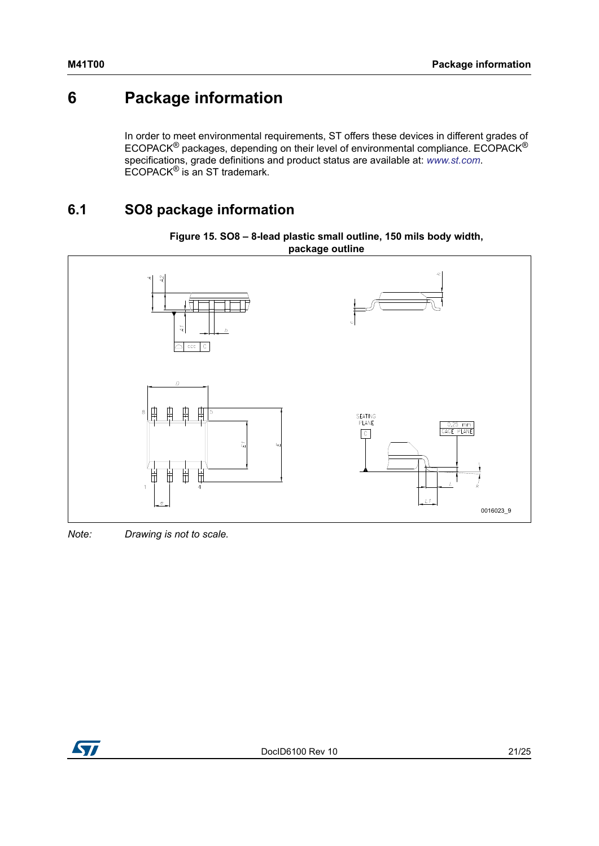# <span id="page-20-0"></span>**6 Package information**

In order to meet environmental requirements, ST offers these devices in different grades of ECOPACK® packages, depending on their level of environmental compliance. ECOPACK® specifications, grade definitions and product status are available at: *[www.st.com](http://www.st.com)*. ECOPACK® is an ST trademark.

## <span id="page-20-1"></span>**6.1 SO8 package information**

<span id="page-20-2"></span>

#### **Figure 15. SO8 – 8-lead plastic small outline, 150 mils body width, package outline**

*Note: Drawing is not to scale.*

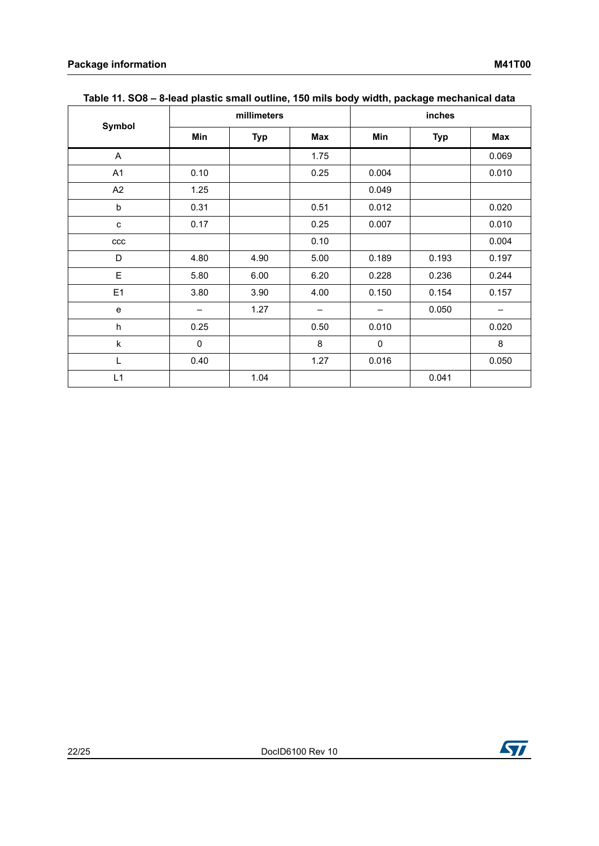<span id="page-21-0"></span>

|                           |             | millimeters |                   |             |            |       |
|---------------------------|-------------|-------------|-------------------|-------------|------------|-------|
| Symbol                    | Min         | <b>Typ</b>  | Max               | Min         | <b>Typ</b> | Max   |
| A                         |             |             | 1.75              |             |            | 0.069 |
| A1                        | 0.10        |             | 0.25              | 0.004       |            | 0.010 |
| A2                        | 1.25        |             |                   | 0.049       |            |       |
| $\sf b$                   | 0.31        |             | 0.51              | 0.012       |            | 0.020 |
| C                         | 0.17        |             | 0.25              | 0.007       |            | 0.010 |
| $_{\rm ccc}$              |             |             | 0.10              |             |            | 0.004 |
| D                         | 4.80        | 4.90        | 5.00              | 0.189       | 0.193      | 0.197 |
| E                         | 5.80        | 6.00        | 6.20              | 0.228       | 0.236      | 0.244 |
| E1                        | 3.80        | 3.90        | 4.00              | 0.150       | 0.154      | 0.157 |
| e                         | —           | 1.27        | $\qquad \qquad -$ | —           | 0.050      | -     |
| $\boldsymbol{\mathsf{h}}$ | 0.25        |             | 0.50              | 0.010       |            | 0.020 |
| k                         | $\mathbf 0$ |             | 8                 | $\mathbf 0$ |            | 8     |
| L                         | 0.40        |             | 1.27              | 0.016       |            | 0.050 |
| L1                        |             | 1.04        |                   |             | 0.041      |       |

### **Table 11. SO8 – 8-lead plastic small outline, 150 mils body width, package mechanical data**

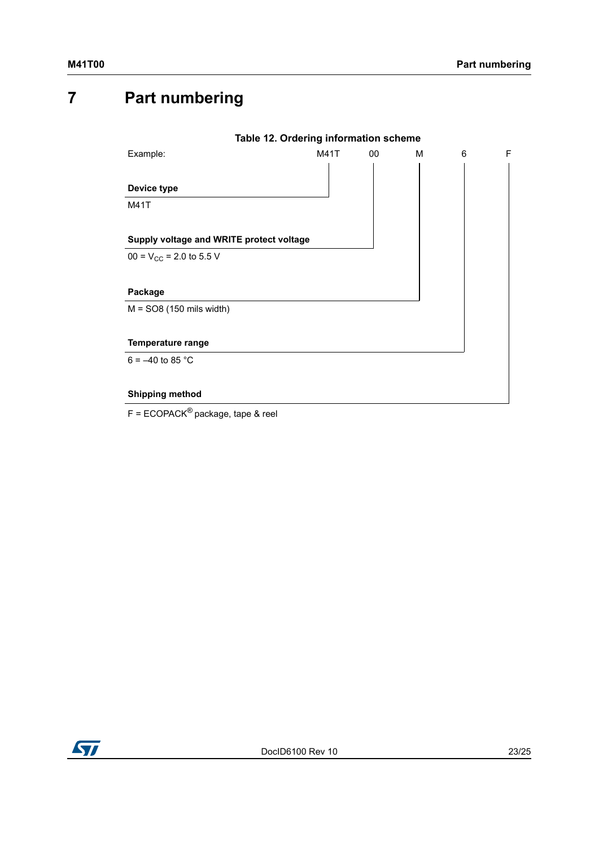# <span id="page-22-0"></span>**7 Part numbering**

<span id="page-22-1"></span>

|                                          | Table 12. Ordering information scheme |    |   |   |   |
|------------------------------------------|---------------------------------------|----|---|---|---|
| Example:                                 | M41T                                  | 00 | М | 6 | F |
|                                          |                                       |    |   |   |   |
| Device type                              |                                       |    |   |   |   |
| <b>M41T</b>                              |                                       |    |   |   |   |
|                                          |                                       |    |   |   |   |
| Supply voltage and WRITE protect voltage |                                       |    |   |   |   |
| $00 = V_{CC} = 2.0$ to 5.5 V             |                                       |    |   |   |   |
|                                          |                                       |    |   |   |   |
| Package                                  |                                       |    |   |   |   |
| $M = SO8$ (150 mils width)               |                                       |    |   |   |   |
|                                          |                                       |    |   |   |   |
| <b>Temperature range</b>                 |                                       |    |   |   |   |
| $6 = -40$ to 85 °C                       |                                       |    |   |   |   |
|                                          |                                       |    |   |   |   |
| <b>Shipping method</b>                   |                                       |    |   |   |   |
| $F = ECOPACK^®$ package, tape & reel     |                                       |    |   |   |   |

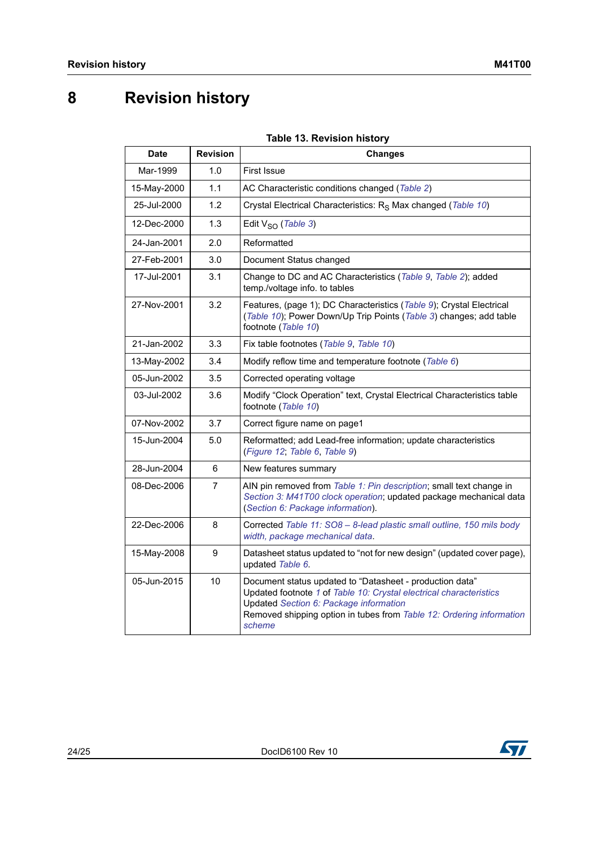# <span id="page-23-0"></span>**8 Revision history**

### **Table 13. Revision history**

<span id="page-23-1"></span>

| <b>Date</b> | <b>Revision</b> | <b>Changes</b>                                                                                                                                                                                                                                             |
|-------------|-----------------|------------------------------------------------------------------------------------------------------------------------------------------------------------------------------------------------------------------------------------------------------------|
| Mar-1999    | 1.0             | <b>First Issue</b>                                                                                                                                                                                                                                         |
| 15-May-2000 | 1.1             | AC Characteristic conditions changed (Table 2)                                                                                                                                                                                                             |
| 25-Jul-2000 | 1.2             | Crystal Electrical Characteristics: R <sub>S</sub> Max changed (Table 10)                                                                                                                                                                                  |
| 12-Dec-2000 | 1.3             | Edit $V_{SO}$ (Table 3)                                                                                                                                                                                                                                    |
| 24-Jan-2001 | 2.0             | Reformatted                                                                                                                                                                                                                                                |
| 27-Feb-2001 | 3.0             | Document Status changed                                                                                                                                                                                                                                    |
| 17-Jul-2001 | 3.1             | Change to DC and AC Characteristics (Table 9, Table 2); added<br>temp./voltage info. to tables                                                                                                                                                             |
| 27-Nov-2001 | 3.2             | Features, (page 1); DC Characteristics (Table 9); Crystal Electrical<br>(Table 10); Power Down/Up Trip Points (Table 3) changes; add table<br>footnote (Table 10)                                                                                          |
| 21-Jan-2002 | 3.3             | Fix table footnotes (Table 9, Table 10)                                                                                                                                                                                                                    |
| 13-May-2002 | 3.4             | Modify reflow time and temperature footnote (Table 6)                                                                                                                                                                                                      |
| 05-Jun-2002 | 3.5             | Corrected operating voltage                                                                                                                                                                                                                                |
| 03-Jul-2002 | 3.6             | Modify "Clock Operation" text, Crystal Electrical Characteristics table<br>footnote (Table 10)                                                                                                                                                             |
| 07-Nov-2002 | 3.7             | Correct figure name on page1                                                                                                                                                                                                                               |
| 15-Jun-2004 | 5.0             | Reformatted; add Lead-free information; update characteristics<br>(Figure 12; Table 6, Table 9)                                                                                                                                                            |
| 28-Jun-2004 | 6               | New features summary                                                                                                                                                                                                                                       |
| 08-Dec-2006 | 7               | AIN pin removed from Table 1: Pin description; small text change in<br>Section 3: M41T00 clock operation; updated package mechanical data<br>(Section 6: Package information).                                                                             |
| 22-Dec-2006 | 8               | Corrected Table 11: SO8 - 8-lead plastic small outline, 150 mils body<br>width, package mechanical data.                                                                                                                                                   |
| 15-May-2008 | 9               | Datasheet status updated to "not for new design" (updated cover page),<br>updated Table 6.                                                                                                                                                                 |
| 05-Jun-2015 | 10              | Document status updated to "Datasheet - production data"<br>Updated footnote 1 of Table 10: Crystal electrical characteristics<br>Updated Section 6: Package information<br>Removed shipping option in tubes from Table 12: Ordering information<br>scheme |